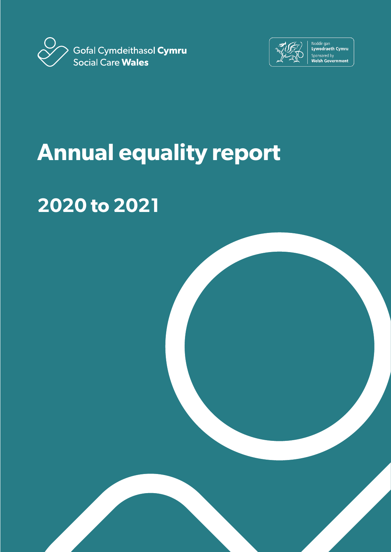



Noddir gan<br>Lywodraeth Cymru Sponsored by<br>Welsh Government

# **Annual equality report**

# **2020 to 2021**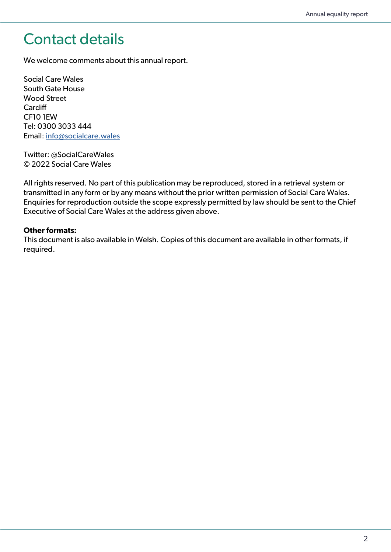## Contact details

We welcome comments about this annual report.

Social Care Wales South Gate House Wood Street **Cardiff** CF10 1EW Tel: 0300 3033 444 Email: [info@socialcare.wales](mailto:info%40socialcare.wales?subject=)

Twitter: @SocialCareWales © 2022 Social Care Wales

All rights reserved. No part of this publication may be reproduced, stored in a retrieval system or transmitted in any form or by any means without the prior written permission of Social Care Wales. Enquiries for reproduction outside the scope expressly permitted by law should be sent to the Chief Executive of Social Care Wales at the address given above.

#### **Other formats:**

This document is also available in Welsh. Copies of this document are available in other formats, if required.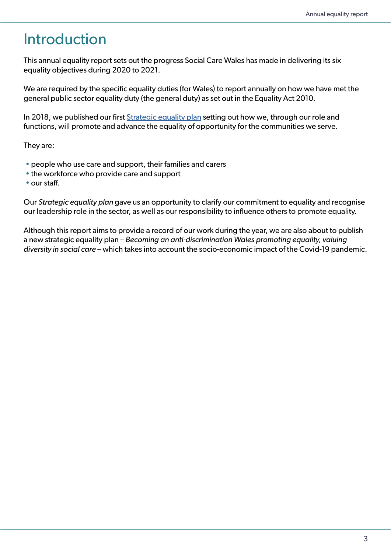# Introduction

This annual equality report sets out the progress Social Care Wales has made in delivering its six equality objectives during 2020 to 2021.

We are required by the specific equality duties (for Wales) to report annually on how we have met the general public sector equality duty (the general duty) as set out in the Equality Act 2010.

In 2018, we published our first *[Strategic equality plan](https://socialcare.wales/about/strategic-and-corporate-plan) setting out how we*, through our role and functions, will promote and advance the equality of opportunity for the communities we serve.

They are:

- people who use care and support, their families and carers
- the workforce who provide care and support
- our staff.

Our *Strategic equality plan* gave us an opportunity to clarify our commitment to equality and recognise our leadership role in the sector, as well as our responsibility to influence others to promote equality.

Although this report aims to provide a record of our work during the year, we are also about to publish a new strategic equality plan – *Becoming an anti-discrimination Wales promoting equality, valuing diversity in social care* – which takes into account the socio-economic impact of the Covid-19 pandemic.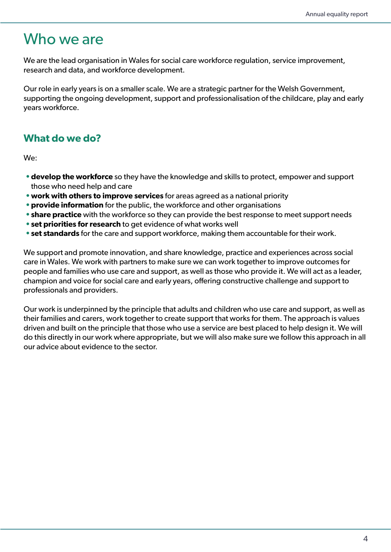## Who we are

We are the lead organisation in Wales for social care workforce regulation, service improvement, research and data, and workforce development.

Our role in early years is on a smaller scale. We are a strategic partner for the Welsh Government, supporting the ongoing development, support and professionalisation of the childcare, play and early years workforce.

### **What do we do?**

We:

- **•develop the workforce** so they have the knowledge and skills to protect, empower and support those who need help and care
- **•work with others to improve services** for areas agreed as a national priority
- **•provide information** for the public, the workforce and other organisations
- **•share practice** with the workforce so they can provide the best response to meet support needs
- **•set priorities for research** to get evidence of what works well
- **•set standards** for the care and support workforce, making them accountable for their work.

We support and promote innovation, and share knowledge, practice and experiences across social care in Wales. We work with partners to make sure we can work together to improve outcomes for people and families who use care and support, as well as those who provide it. We will act as a leader, champion and voice for social care and early years, offering constructive challenge and support to professionals and providers.

Our work is underpinned by the principle that adults and children who use care and support, as well as their families and carers, work together to create support that works for them. The approach is values driven and built on the principle that those who use a service are best placed to help design it. We will do this directly in our work where appropriate, but we will also make sure we follow this approach in all our advice about evidence to the sector.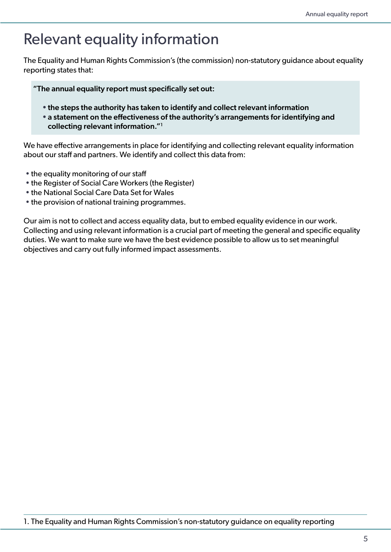# Relevant equality information

The Equality and Human Rights Commission's (the commission) non-statutory guidance about equality reporting states that:

"The annual equality report must specifically set out:

- •the steps the authority has taken to identify and collect relevant information
- •a statement on the effectiveness of the authority's arrangements for identifying and collecting relevant information."1

We have effective arrangements in place for identifying and collecting relevant equality information about our staff and partners. We identify and collect this data from:

- the equality monitoring of our staff
- the Register of Social Care Workers (the Register)
- the National Social Care Data Set for Wales
- the provision of national training programmes.

Our aim is not to collect and access equality data, but to embed equality evidence in our work. Collecting and using relevant information is a crucial part of meeting the general and specific equality duties. We want to make sure we have the best evidence possible to allow us to set meaningful objectives and carry out fully informed impact assessments.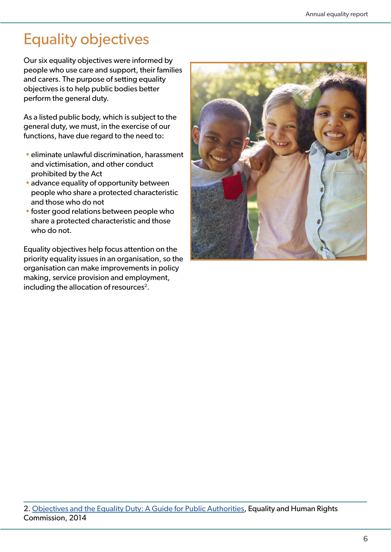# Equality objectives

Our six equality objectives were informed by people who use care and support, their families and carers. The purpose of setting equality objectives is to help public bodies better perform the general duty.

As a listed public body, which is subject to the general duty, we must, in the exercise of our functions, have due regard to the need to:

- eliminate unlawful discrimination, harassment and victimisation, and other conduct prohibited by the Act
- advance equality of opportunity between people who share a protected characteristic and those who do not
- foster good relations between people who share a protected characteristic and those who do not.

Equality objectives help focus attention on the priority equality issues in an organisation, so the organisation can make improvements in policy making, service provision and employment, including the allocation of resources<sup>2</sup>.



<sup>2.</sup> [Objectives and the Equality Duty: A Guide for Public Authorities,](https://www.equalityhumanrights.com/en/publication-download/equality-objectives-and-strategic-equality-plans-guide-listed-public) Equality and Human Rights Commission, 2014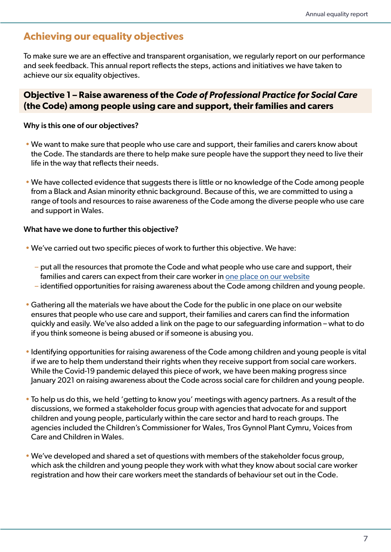### **Achieving our equality objectives**

To make sure we are an effective and transparent organisation, we regularly report on our performance and seek feedback. This annual report reflects the steps, actions and initiatives we have taken to achieve our six equality objectives.

### **Objective 1 – Raise awareness of the** *Code of Professional Practice for Social Care*  **(the Code) among people using care and support, their families and carers**

#### Why is this one of our objectives?

- We want to make sure that people who use care and support, their families and carers know about the Code. The standards are there to help make sure people have the support they need to live their life in the way that reflects their needs.
- We have collected evidence that suggests there is little or no knowledge of the Code among people from a Black and Asian minority ethnic background. Because of this, we are committed to using a range of tools and resources to raise awareness of the Code among the diverse people who use care and support in Wales.

- We've carried out two specific pieces of work to further this objective. We have:
	- put all the resources that promote the Code and what people who use care and support, their families and carers can expect from their care worker in [one place on our website](https://socialcare.wales/dealing-with-concerns/codes-of-practice-and-guidance)
	- identified opportunities for raising awareness about the Code among children and young people.
- Gathering all the materials we have about the Code for the public in one place on our website ensures that people who use care and support, their families and carers can find the information quickly and easily. We've also added a link on the page to our safeguarding information – what to do if you think someone is being abused or if someone is abusing you.
- Identifying opportunities for raising awareness of the Code among children and young people is vital if we are to help them understand their rights when they receive support from social care workers. While the Covid-19 pandemic delayed this piece of work, we have been making progress since January 2021 on raising awareness about the Code across social care for children and young people.
- To help us do this, we held 'getting to know you' meetings with agency partners. As a result of the discussions, we formed a stakeholder focus group with agencies that advocate for and support children and young people, particularly within the care sector and hard to reach groups. The agencies included the Children's Commissioner for Wales, Tros Gynnol Plant Cymru, Voices from Care and Children in Wales.
- We've developed and shared a set of questions with members of the stakeholder focus group, which ask the children and young people they work with what they know about social care worker registration and how their care workers meet the standards of behaviour set out in the Code.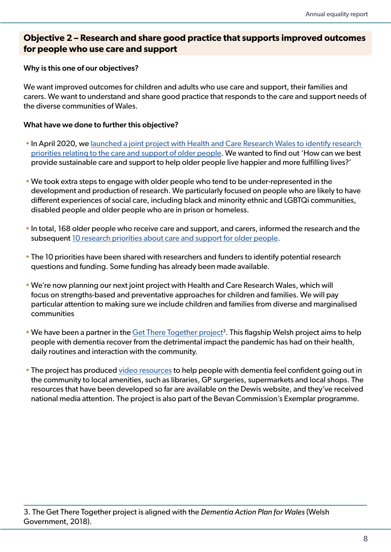### **Objective 2 – Research and share good practice that supports improved outcomes for people who use care and support**

#### Why is this one of our objectives?

We want improved outcomes for children and adults who use care and support, their families and carers. We want to understand and share good practice that responds to the care and support needs of the diverse communities of Wales.

- In April 2020, we [launched a joint project with Health and Care Research Wales to identify research](https://www.jla.nihr.ac.uk/priority-setting-partnerships/setting-priorities-for-social-care-research-in-wales/top-10-priorities.htm)  [priorities relating to the care and support of older people.](https://www.jla.nihr.ac.uk/priority-setting-partnerships/setting-priorities-for-social-care-research-in-wales/top-10-priorities.htm) We wanted to find out 'How can we best provide sustainable care and support to help older people live happier and more fulfilling lives?'
- We took extra steps to engage with older people who tend to be under-represented in the development and production of research. We particularly focused on people who are likely to have different experiences of social care, including black and minority ethnic and LGBTQi communities, disabled people and older people who are in prison or homeless.
- In total, 168 older people who receive care and support, and carers, informed the research and the subsequent [10 research priorities about care and support for older people](https://www.jla.nihr.ac.uk/priority-setting-partnerships/setting-priorities-for-social-care-research-in-wales/top-10-priorities.htm).
- The 10 priorities have been shared with researchers and funders to identify potential research questions and funding. Some funding has already been made available.
- We're now planning our next joint project with Health and Care Research Wales, which will focus on strengths-based and preventative approaches for children and families. We will pay particular attention to making sure we include children and families from diverse and marginalised communities
- We have been a partner in the Get There Together project<sup>3</sup>. This flagship Welsh project aims to help people with dementia recover from the detrimental impact the pandemic has had on their health, daily routines and interaction with the community.
- The project has produced [video resources](https://www.dewis.wales/SearchResults.aspx?q=Get+There+Together&loc=&d=&c=35&a=&f=&t=1&o=&st=-1&nr=1&nip=0&l=&af=&lang=0) to help people with dementia feel confident going out in the community to local amenities, such as libraries, GP surgeries, supermarkets and local shops. The resources that have been developed so far are available on the Dewis website, and they've received national media attention. The project is also part of the Bevan Commission's Exemplar programme.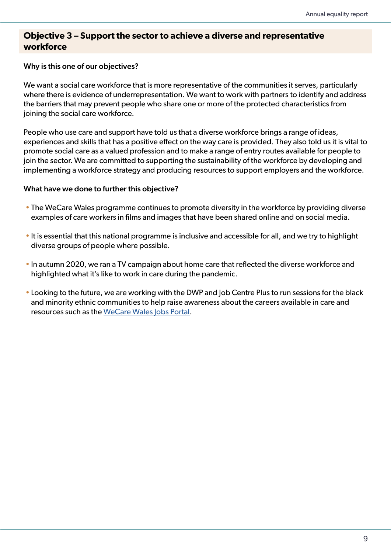### **Objective 3 – Support the sector to achieve a diverse and representative workforce**

#### Why is this one of our objectives?

We want a social care workforce that is more representative of the communities it serves, particularly where there is evidence of underrepresentation. We want to work with partners to identify and address the barriers that may prevent people who share one or more of the protected characteristics from joining the social care workforce.

People who use care and support have told us that a diverse workforce brings a range of ideas, experiences and skills that has a positive effect on the way care is provided. They also told us it is vital to promote social care as a valued profession and to make a range of entry routes available for people to join the sector. We are committed to supporting the sustainability of the workforce by developing and implementing a workforce strategy and producing resources to support employers and the workforce.

- The WeCare Wales programme continues to promote diversity in the workforce by providing diverse examples of care workers in films and images that have been shared online and on social media.
- It is essential that this national programme is inclusive and accessible for all, and we try to highlight diverse groups of people where possible.
- In autumn 2020, we ran a TV campaign about home care that reflected the diverse workforce and highlighted what it's like to work in care during the pandemic.
- Looking to the future, we are working with the DWP and Job Centre Plus to run sessions for the black and minority ethnic communities to help raise awareness about the careers available in care and resources such as the [WeCare Wales Jobs Portal.](http://www.wecare.wales/jobs)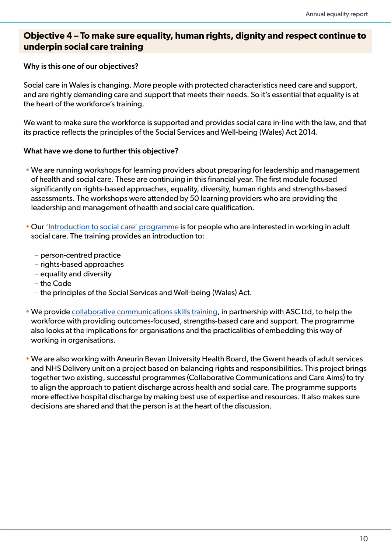### **Objective 4 – To make sure equality, human rights, dignity and respect continue to underpin social care training**

#### Why is this one of our objectives?

Social care in Wales is changing. More people with protected characteristics need care and support, and are rightly demanding care and support that meets their needs. So it's essential that equality is at the heart of the workforce's training.

We want to make sure the workforce is supported and provides social care in-line with the law, and that its practice reflects the principles of the Social Services and Well-being (Wales) Act 2014.

- We are running workshops for learning providers about preparing for leadership and management of health and social care. These are continuing in this financial year. The first module focused significantly on rights-based approaches, equality, diversity, human rights and strengths-based assessments. The workshops were attended by 50 learning providers who are providing the leadership and management of health and social care qualification.
- Our ['Introduction to social care' programme](https://wecare.wales/helping-you-find-your-career-in-care/) is for people who are interested in working in adult social care. The training provides an introduction to:
	- person-centred practice
	- rights-based approaches
	- equality and diversity
	- the Code
	- the principles of the Social Services and Well-being (Wales) Act.
- We provide [collaborative communications skills training](https://socialcare.wales/service-improvement/outcomes-training-and-developing-the-skills-of-our-workforce#section-35092-anchor), in partnership with ASC Ltd, to help the workforce with providing outcomes-focused, strengths-based care and support. The programme also looks at the implications for organisations and the practicalities of embedding this way of working in organisations.
- We are also working with Aneurin Bevan University Health Board, the Gwent heads of adult services and NHS Delivery unit on a project based on balancing rights and responsibilities. This project brings together two existing, successful programmes (Collaborative Communications and Care Aims) to try to align the approach to patient discharge across health and social care. The programme supports more effective hospital discharge by making best use of expertise and resources. It also makes sure decisions are shared and that the person is at the heart of the discussion.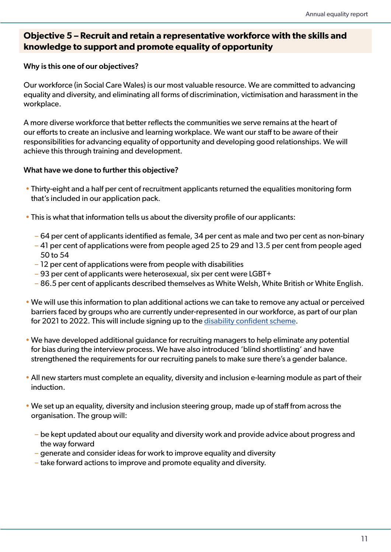### **Objective 5 – Recruit and retain a representative workforce with the skills and knowledge to support and promote equality of opportunity**

#### Why is this one of our objectives?

Our workforce (in Social Care Wales) is our most valuable resource. We are committed to advancing equality and diversity, and eliminating all forms of discrimination, victimisation and harassment in the workplace.

A more diverse workforce that better reflects the communities we serve remains at the heart of our efforts to create an inclusive and learning workplace. We want our staff to be aware of their responsibilities for advancing equality of opportunity and developing good relationships. We will achieve this through training and development.

- Thirty-eight and a half per cent of recruitment applicants returned the equalities monitoring form that's included in our application pack.
- This is what that information tells us about the diversity profile of our applicants:
	- 64 per cent of applicants identified as female, 34 per cent as male and two per cent as non-binary
	- 41 per cent of applications were from people aged 25 to 29 and 13.5 per cent from people aged 50 to 54
	- 12 per cent of applications were from people with disabilities
	- 93 per cent of applicants were heterosexual, six per cent were LGBT+
	- 86.5 per cent of applicants described themselves as White Welsh, White British or White English.
- We will use this information to plan additional actions we can take to remove any actual or perceived barriers faced by groups who are currently under-represented in our workforce, as part of our plan for 2021 to 2022. This will include signing up to the [disability confident scheme](https://www.gov.uk/government/collections/disability-confident-campaign).
- We have developed additional guidance for recruiting managers to help eliminate any potential for bias during the interview process. We have also introduced 'blind shortlisting' and have strengthened the requirements for our recruiting panels to make sure there's a gender balance.
- All new starters must complete an equality, diversity and inclusion e-learning module as part of their induction.
- We set up an equality, diversity and inclusion steering group, made up of staff from across the organisation. The group will:
	- be kept updated about our equality and diversity work and provide advice about progress and the way forward
	- generate and consider ideas for work to improve equality and diversity
	- take forward actions to improve and promote equality and diversity.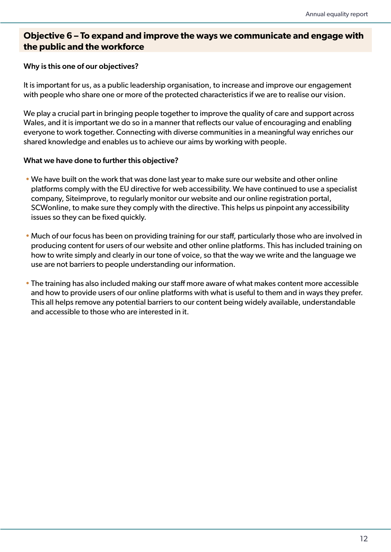### **Objective 6 – To expand and improve the ways we communicate and engage with the public and the workforce**

#### Why is this one of our objectives?

It is important for us, as a public leadership organisation, to increase and improve our engagement with people who share one or more of the protected characteristics if we are to realise our vision.

We play a crucial part in bringing people together to improve the quality of care and support across Wales, and it is important we do so in a manner that reflects our value of encouraging and enabling everyone to work together. Connecting with diverse communities in a meaningful way enriches our shared knowledge and enables us to achieve our aims by working with people.

- We have built on the work that was done last year to make sure our website and other online platforms comply with the EU directive for web accessibility. We have continued to use a specialist company, Siteimprove, to regularly monitor our website and our online registration portal, SCWonline, to make sure they comply with the directive. This helps us pinpoint any accessibility issues so they can be fixed quickly.
- Much of our focus has been on providing training for our staff, particularly those who are involved in producing content for users of our website and other online platforms. This has included training on how to write simply and clearly in our tone of voice, so that the way we write and the language we use are not barriers to people understanding our information.
- The training has also included making our staff more aware of what makes content more accessible and how to provide users of our online platforms with what is useful to them and in ways they prefer. This all helps remove any potential barriers to our content being widely available, understandable and accessible to those who are interested in it.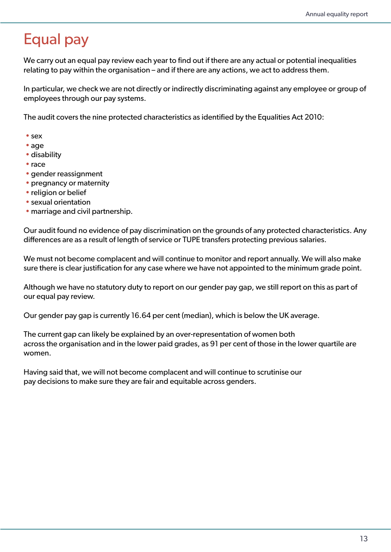# Equal pay

We carry out an equal pay review each year to find out if there are any actual or potential inequalities relating to pay within the organisation – and if there are any actions, we act to address them.

In particular, we check we are not directly or indirectly discriminating against any employee or group of employees through our pay systems.

The audit covers the nine protected characteristics as identified by the Equalities Act 2010:

- sex
- age
- disability
- race
- gender reassignment
- pregnancy or maternity
- religion or belief
- sexual orientation
- marriage and civil partnership.

Our audit found no evidence of pay discrimination on the grounds of any protected characteristics. Any differences are as a result of length of service or TUPE transfers protecting previous salaries.

We must not become complacent and will continue to monitor and report annually. We will also make sure there is clear justification for any case where we have not appointed to the minimum grade point.

Although we have no statutory duty to report on our gender pay gap, we still report on this as part of our equal pay review.

Our gender pay gap is currently 16.64 per cent (median), which is below the UK average.

The current gap can likely be explained by an over-representation of women both across the organisation and in the lower paid grades, as 91 per cent of those in the lower quartile are women.

Having said that, we will not become complacent and will continue to scrutinise our pay decisions to make sure they are fair and equitable across genders.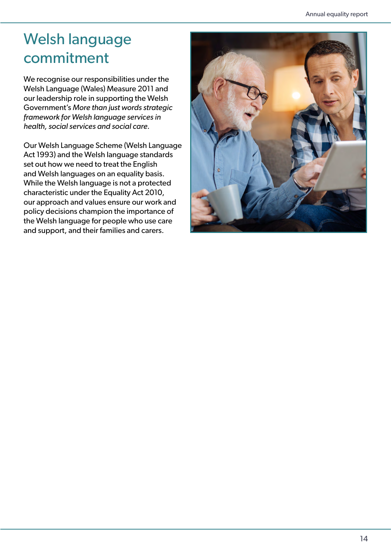# Welsh language commitment

We recognise our responsibilities under the Welsh Language (Wales) Measure 2011 and our leadership role in supporting the Welsh Government's *More than just words strategic framework for Welsh language services in health, social services and social care.*

Our Welsh Language Scheme (Welsh Language Act 1993) and the Welsh language standards set out how we need to treat the English and Welsh languages on an equality basis. While the Welsh language is not a protected characteristic under the Equality Act 2010, our approach and values ensure our work and policy decisions champion the importance of the Welsh language for people who use care and support, and their families and carers.

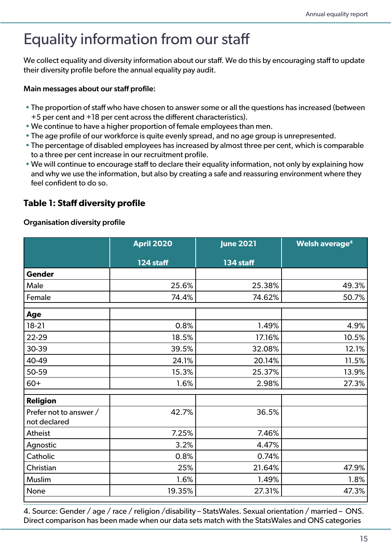# Equality information from our staff

We collect equality and diversity information about our staff. We do this by encouraging staff to update their diversity profile before the annual equality pay audit.

#### Main messages about our staff profile:

- The proportion of staff who have chosen to answer some or all the questions has increased (between +5 per cent and +18 per cent across the different characteristics).
- We continue to have a higher proportion of female employees than men.
- The age profile of our workforce is quite evenly spread, and no age group is unrepresented.
- The percentage of disabled employees has increased by almost three per cent, which is comparable to a three per cent increase in our recruitment profile.
- We will continue to encourage staff to declare their equality information, not only by explaining how and why we use the information, but also by creating a safe and reassuring environment where they feel confident to do so.

### **Table 1: Staff diversity profile**

#### Organisation diversity profile

|                                        | <b>April 2020</b> | <b>June 2021</b> | Welsh average <sup>4</sup> |
|----------------------------------------|-------------------|------------------|----------------------------|
|                                        | 124 staff         | 134 staff        |                            |
| <b>Gender</b>                          |                   |                  |                            |
| Male                                   | 25.6%             | 25.38%           | 49.3%                      |
| Female                                 | 74.4%             | 74.62%           | 50.7%                      |
| Age                                    |                   |                  |                            |
| $18-21$                                | 0.8%              | 1.49%            | 4.9%                       |
| 22-29                                  | 18.5%             | 17.16%           | 10.5%                      |
| 30-39                                  | 39.5%             | 32.08%           | 12.1%                      |
| 40-49                                  | 24.1%             | 20.14%           | 11.5%                      |
| 50-59                                  | 15.3%             | 25.37%           | 13.9%                      |
| $60+$                                  | 1.6%              | 2.98%            | 27.3%                      |
| <b>Religion</b>                        |                   |                  |                            |
| Prefer not to answer /<br>not declared | 42.7%             | 36.5%            |                            |
| Atheist                                | 7.25%             | 7.46%            |                            |
| Agnostic                               | 3.2%              | 4.47%            |                            |
| Catholic                               | 0.8%              | 0.74%            |                            |
| Christian                              | 25%               | 21.64%           | 47.9%                      |
| Muslim                                 | 1.6%              | 1.49%            | 1.8%                       |
| None                                   | 19.35%            | 27.31%           | 47.3%                      |

4. Source: Gender / age / race / religion /disability – StatsWales. Sexual orientation / married – ONS. Direct comparison has been made when our data sets match with the StatsWales and ONS categories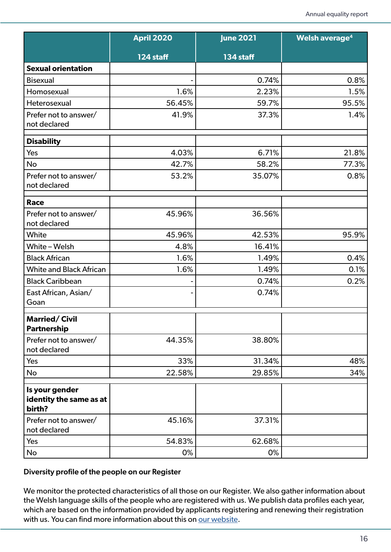|                                                     | <b>April 2020</b> | <b>June 2021</b> | Welsh average <sup>4</sup> |
|-----------------------------------------------------|-------------------|------------------|----------------------------|
|                                                     | 124 staff         | 134 staff        |                            |
| <b>Sexual orientation</b>                           |                   |                  |                            |
| <b>Bisexual</b>                                     |                   | 0.74%            | 0.8%                       |
| Homosexual                                          | 1.6%              | 2.23%            | 1.5%                       |
| Heterosexual                                        | 56.45%            | 59.7%            | 95.5%                      |
| Prefer not to answer/<br>not declared               | 41.9%             | 37.3%            | 1.4%                       |
| <b>Disability</b>                                   |                   |                  |                            |
| Yes                                                 | 4.03%             | 6.71%            | 21.8%                      |
| No                                                  | 42.7%             | 58.2%            | 77.3%                      |
| Prefer not to answer/<br>not declared               | 53.2%             | 35.07%           | 0.8%                       |
| Race                                                |                   |                  |                            |
| Prefer not to answer/<br>not declared               | 45.96%            | 36.56%           |                            |
| White                                               | 45.96%            | 42.53%           | 95.9%                      |
| White-Welsh                                         | 4.8%              | 16.41%           |                            |
| <b>Black African</b>                                | 1.6%              | 1.49%            | 0.4%                       |
| <b>White and Black African</b>                      | 1.6%              | 1.49%            | 0.1%                       |
| <b>Black Caribbean</b>                              |                   | 0.74%            | 0.2%                       |
| East African, Asian/<br>Goan                        |                   | 0.74%            |                            |
| <b>Married/Civil</b><br><b>Partnership</b>          |                   |                  |                            |
| Prefer not to answer/                               | 44.35%            | 38.80%           |                            |
| not declared                                        |                   |                  |                            |
| Yes                                                 | 33%               | 31.34%           | 48%                        |
| No                                                  | 22.58%            | 29.85%           | 34%                        |
| Is your gender<br>identity the same as at<br>birth? |                   |                  |                            |
| Prefer not to answer/<br>not declared               | 45.16%            | 37.31%           |                            |
| Yes                                                 | 54.83%            | 62.68%           |                            |
| No                                                  | 0%                | 0%               |                            |

#### Diversity profile of the people on our Register

We monitor the protected characteristics of all those on our Register. We also gather information about the Welsh language skills of the people who are registered with us. We publish data profiles each year, which are based on the information provided by applicants registering and renewing their registration with us. You can find more information about this on [our website](mailto:https://socialcare.wales/research-and-data/workforce-reports?subject=).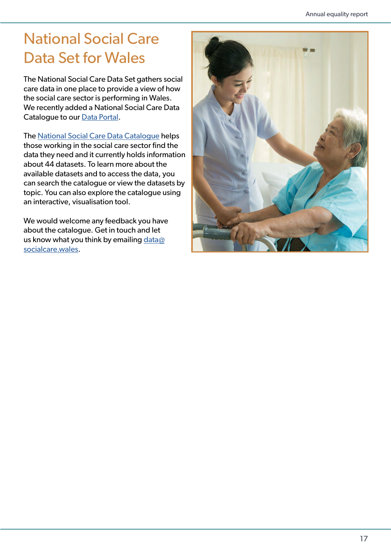# National Social Care Data Set for Wales

The National Social Care Data Set gathers social care data in one place to provide a view of how the social care sector is performing in Wales. We recently added a National Social Care Data Catalogue to our [Data Portal](http://www.socialcaredata.wales/IAS/cym).

The [National Social Care Data Catalogue](http://catalog.datagofalcymdeithasol.cymru/searchmetadata.aspx) helps those working in the social care sector find the data they need and it currently holds information about 44 datasets. To learn more about the available datasets and to access the data, you can search the catalogue or view the datasets by topic. You can also explore the catalogue using an interactive, visualisation tool.

We would welcome any feedback you have about the catalogue. Get in touch and let us know what you think by emailing data $@$ [socialcare.wales](mailto:data%40socialcare.wales?subject=).